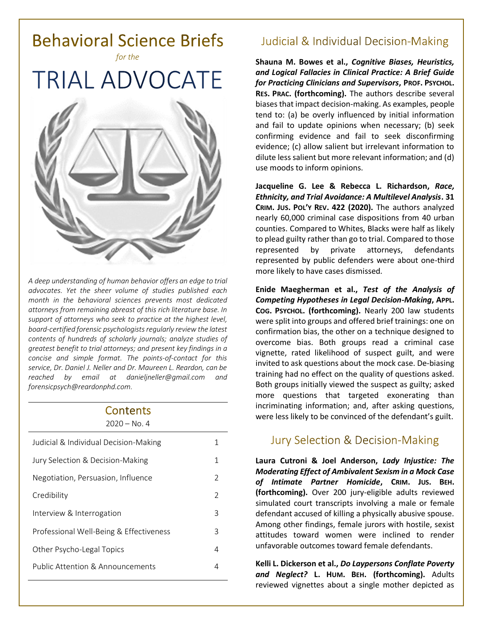

*A deep understanding of human behavior offers an edge to trial advocates. Yet the sheer volume of studies published each month in the behavioral sciences prevents most dedicated attorneys from remaining abreast of this rich literature base. In support of attorneys who seek to practice at the highest level, board-certified forensic psychologists regularly review the latest contents of hundreds of scholarly journals; analyze studies of greatest benefit to trial attorneys; and present key findings in a concise and simple format. The points-of-contact for this service, Dr. Daniel J. Neller and Dr. Maureen L. Reardon, can be reached by email at [danieljneller@gmail.com](mailto:danieljneller@gmail.com) and [forensicpsych@reardonphd.com.](mailto:forensicpsych@reardonphd.com)* 

#### Contents  $2020 - No. 4$

| Judicial & Individual Decision-Making   | 1             |
|-----------------------------------------|---------------|
| Jury Selection & Decision-Making        | 1             |
| Negotiation, Persuasion, Influence      | 2             |
| Credibility                             | $\mathcal{P}$ |
| Interview & Interrogation               | 3             |
| Professional Well-Being & Effectiveness | 3             |
| Other Psycho-Legal Topics               | 4             |
| Public Attention & Announcements        |               |
|                                         |               |

### **Judicial & Individual Decision-Making**

**Shauna M. Bowes et al.,** *Cognitive Biases, Heuristics, and Logical Fallacies in Clinical Practice: A Brief Guide for Practicing Clinicians and Supervisors***, PROF. PSYCHOL. RES. PRAC. (forthcoming).** The authors describe several biases that impact decision-making. As examples, people tend to: (a) be overly influenced by initial information and fail to update opinions when necessary; (b) seek confirming evidence and fail to seek disconfirming evidence; (c) allow salient but irrelevant information to dilute less salient but more relevant information; and (d) use moods to inform opinions.

**Jacqueline G. Lee & Rebecca L. Richardson,** *Race, Ethnicity, and Trial Avoidance: A Multilevel Analysis***. 31 CRIM. JUS. POL'Y REV. 422 (2020).** The authors analyzed nearly 60,000 criminal case dispositions from 40 urban counties. Compared to Whites, Blacks were half as likely to plead guilty rather than go to trial. Compared to those represented by private attorneys, defendants represented by public defenders were about one-third more likely to have cases dismissed.

**Enide Maegherman et al.,** *Test of the Analysis of Competing Hypotheses in Legal Decision-Making***, APPL. COG. PSYCHOL. (forthcoming).** Nearly 200 law students were split into groups and offered brief trainings: one on confirmation bias, the other on a technique designed to overcome bias. Both groups read a criminal case vignette, rated likelihood of suspect guilt, and were invited to ask questions about the mock case. De-biasing training had no effect on the quality of questions asked. Both groups initially viewed the suspect as guilty; asked more questions that targeted exonerating than incriminating information; and, after asking questions, were less likely to be convinced of the defendant's guilt.

# Jury Selection & Decision-Making

**Laura Cutroni & Joel Anderson,** *Lady Injustice: The Moderating Effect of Ambivalent Sexism in a Mock Case of Intimate Partner Homicide***, CRIM. JUS. BEH. (forthcoming).** Over 200 jury-eligible adults reviewed simulated court transcripts involving a male or female defendant accused of killing a physically abusive spouse. Among other findings, female jurors with hostile, sexist attitudes toward women were inclined to render unfavorable outcomes toward female defendants.

**Kelli L. Dickerson et al.,** *Do Laypersons Conflate Poverty and Neglect?* **L. HUM. BEH. (forthcoming).** Adults reviewed vignettes about a single mother depicted as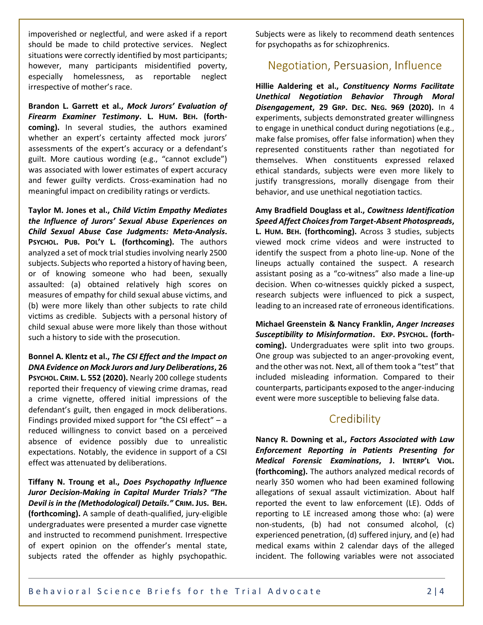impoverished or neglectful, and were asked if a report should be made to child protective services. Neglect situations were correctly identified by most participants; however, many participants misidentified poverty, especially homelessness, as reportable neglect irrespective of mother's race.

**Brandon L. Garrett et al.,** *Mock Jurors' Evaluation of Firearm Examiner Testimony***. L. HUM. BEH. (forthcoming).** In several studies, the authors examined whether an expert's certainty affected mock jurors' assessments of the expert's accuracy or a defendant's guilt. More cautious wording (e.g., "cannot exclude") was associated with lower estimates of expert accuracy and fewer guilty verdicts. Cross-examination had no meaningful impact on credibility ratings or verdicts.

**Taylor M. Jones et al.,** *Child Victim Empathy Mediates the Influence of Jurors' Sexual Abuse Experiences on Child Sexual Abuse Case Judgments: Meta-Analysis***. PSYCHOL. PUB. POL'Y L. (forthcoming).** The authors analyzed a set of mock trial studies involving nearly 2500 subjects. Subjects who reported a history of having been, or of knowing someone who had been, sexually assaulted: (a) obtained relatively high scores on measures of empathy for child sexual abuse victims, and (b) were more likely than other subjects to rate child victims as credible. Subjects with a personal history of child sexual abuse were more likely than those without such a history to side with the prosecution.

**Bonnel A. Klentz et al.,** *The CSI Effect and the Impact on DNA Evidence on Mock Jurors and Jury Deliberations***, 26 PSYCHOL. CRIM. L. 552 (2020).** Nearly 200 college students reported their frequency of viewing crime dramas, read a crime vignette, offered initial impressions of the defendant's guilt, then engaged in mock deliberations. Findings provided mixed support for "the CSI effect"  $- a$ reduced willingness to convict based on a perceived absence of evidence possibly due to unrealistic expectations. Notably, the evidence in support of a CSI effect was attenuated by deliberations.

**Tiffany N. Troung et al.,** *Does Psychopathy Influence Juror Decision-Making in Capital Murder Trials? "The Devil is in the (Methodological) Details."* **CRIM. JUS. BEH. (forthcoming).** A sample of death-qualified, jury-eligible undergraduates were presented a murder case vignette and instructed to recommend punishment. Irrespective of expert opinion on the offender's mental state, subjects rated the offender as highly psychopathic.

Subjects were as likely to recommend death sentences for psychopaths as for schizophrenics.

### Negotiation, Persuasion, Influence

**Hillie Aaldering et al.,** *Constituency Norms Facilitate Unethical Negotiation Behavior Through Moral Disengagement***, 29 GRP. DEC. NEG. 969 (2020).** In 4 experiments, subjects demonstrated greater willingness to engage in unethical conduct during negotiations (e.g., make false promises, offer false information) when they represented constituents rather than negotiated for themselves. When constituents expressed relaxed ethical standards, subjects were even more likely to justify transgressions, morally disengage from their behavior, and use unethical negotiation tactics.

**Amy Bradfield Douglass et al.,** *Cowitness Identification Speed Affect Choices from Target-Absent Photospreads***, L. HUM. BEH. (forthcoming).** Across 3 studies, subjects viewed mock crime videos and were instructed to identify the suspect from a photo line-up. None of the lineups actually contained the suspect. A research assistant posing as a "co-witness" also made a line-up decision. When co-witnesses quickly picked a suspect, research subjects were influenced to pick a suspect, leading to an increased rate of erroneous identifications.

**Michael Greenstein & Nancy Franklin,** *Anger Increases Susceptibility to Misinformation***. EXP. PSYCHOL. (forthcoming).** Undergraduates were split into two groups. One group was subjected to an anger-provoking event, and the other was not. Next, all of them took a "test" that included misleading information. Compared to their counterparts, participants exposed to the anger-inducing event were more susceptible to believing false data.

### Credibility

**Nancy R. Downing et al***., Factors Associated with Law Enforcement Reporting in Patients Presenting for Medical Forensic Examinations***, J. INTERP'L VIOL. (forthcoming).** The authors analyzed medical records of nearly 350 women who had been examined following allegations of sexual assault victimization. About half reported the event to law enforcement (LE). Odds of reporting to LE increased among those who: (a) were non-students, (b) had not consumed alcohol, (c) experienced penetration, (d) suffered injury, and (e) had medical exams within 2 calendar days of the alleged incident. The following variables were not associated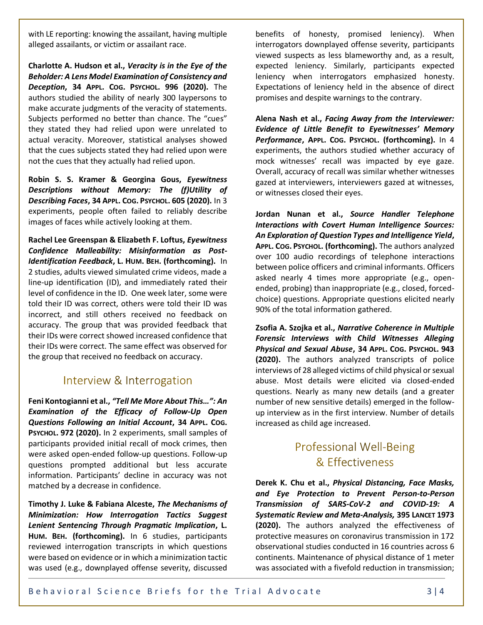with LE reporting: knowing the assailant, having multiple alleged assailants, or victim or assailant race.

**Charlotte A. Hudson et al.,** *Veracity is in the Eye of the Beholder: A Lens Model Examination of Consistency and Deception***, 34 APPL. COG. PSYCHOL. 996 (2020).** The authors studied the ability of nearly 300 laypersons to make accurate judgments of the veracity of statements. Subjects performed no better than chance. The "cues" they stated they had relied upon were unrelated to actual veracity. Moreover, statistical analyses showed that the cues subjects stated they had relied upon were not the cues that they actually had relied upon.

**Robin S. S. Kramer & Georgina Gous,** *Eyewitness Descriptions without Memory: The (f)Utility of Describing Faces***, 34 APPL. COG. PSYCHOL. 605 (2020).** In 3 experiments, people often failed to reliably describe images of faces while actively looking at them.

**Rachel Lee Greenspan & Elizabeth F. Loftus,** *Eyewitness Confidence Malleability: Misinformation as Post-Identification Feedback***, L. HUM. BEH. (forthcoming).** In 2 studies, adults viewed simulated crime videos, made a line-up identification (ID), and immediately rated their level of confidence in the ID. One week later, some were told their ID was correct, others were told their ID was incorrect, and still others received no feedback on accuracy. The group that was provided feedback that their IDs were correct showed increased confidence that their IDs were correct. The same effect was observed for the group that received no feedback on accuracy.

#### Interview & Interrogation

**Feni Kontogianni et al.,** *"Tell Me More About This…": An Examination of the Efficacy of Follow-Up Open Questions Following an Initial Account***, 34 APPL. COG. PSYCHOL. 972 (2020).** In 2 experiments, small samples of participants provided initial recall of mock crimes, then were asked open-ended follow-up questions. Follow-up questions prompted additional but less accurate information. Participants' decline in accuracy was not matched by a decrease in confidence.

**Timothy J. Luke & Fabiana Alceste,** *The Mechanisms of Minimization: How Interrogation Tactics Suggest Lenient Sentencing Through Pragmatic Implication***, L. HUM. BEH. (forthcoming).** In 6 studies, participants reviewed interrogation transcripts in which questions were based on evidence or in which a minimization tactic was used (e.g., downplayed offense severity, discussed

benefits of honesty, promised leniency). When interrogators downplayed offense severity, participants viewed suspects as less blameworthy and, as a result, expected leniency. Similarly, participants expected leniency when interrogators emphasized honesty. Expectations of leniency held in the absence of direct promises and despite warnings to the contrary.

**Alena Nash et al.,** *Facing Away from the Interviewer: Evidence of Little Benefit to Eyewitnesses' Memory Performance***, APPL. COG. PSYCHOL. (forthcoming).** In 4 experiments, the authors studied whether accuracy of mock witnesses' recall was impacted by eye gaze. Overall, accuracy of recall was similar whether witnesses gazed at interviewers, interviewers gazed at witnesses, or witnesses closed their eyes.

**Jordan Nunan et al.,** *Source Handler Telephone Interactions with Covert Human Intelligence Sources: An Exploration of Question Types and Intelligence Yield***, APPL. COG. PSYCHOL. (forthcoming).** The authors analyzed over 100 audio recordings of telephone interactions between police officers and criminal informants. Officers asked nearly 4 times more appropriate (e.g., openended, probing) than inappropriate (e.g., closed, forcedchoice) questions. Appropriate questions elicited nearly 90% of the total information gathered.

**Zsofia A. Szojka et al.,** *Narrative Coherence in Multiple Forensic Interviews with Child Witnesses Alleging Physical and Sexual Abuse***, 34 APPL. COG. PSYCHOL. 943 (2020).** The authors analyzed transcripts of police interviews of 28 alleged victims of child physical or sexual abuse. Most details were elicited via closed-ended questions. Nearly as many new details (and a greater number of new sensitive details) emerged in the followup interview as in the first interview. Number of details increased as child age increased.

# **Professional Well-Being** & Effectiveness

**Derek K. Chu et al.,** *Physical Distancing, Face Masks, and Eye Protection to Prevent Person-to-Person Transmission of SARS-CoV-2 and COVID-19: A Systematic Review and Meta-Analysis,* **395 LANCET 1973 (2020).** The authors analyzed the effectiveness of protective measures on coronavirus transmission in 172 observational studies conducted in 16 countries across 6 continents. Maintenance of physical distance of 1 meter was associated with a fivefold reduction in transmission;